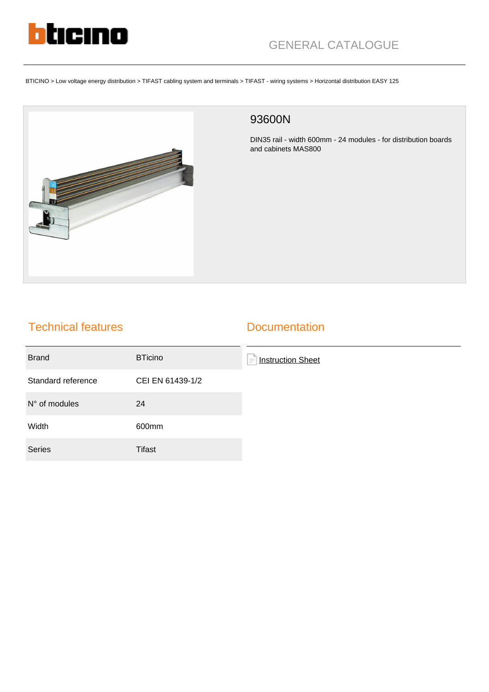

BTICINO > Low voltage energy distribution > TIFAST cabling system and terminals > TIFAST - wiring systems > Horizontal distribution EASY 125



## 93600N

DIN35 rail - width 600mm - 24 modules - for distribution boards and cabinets MAS800

## Technical features

## **Documentation**

| <b>Brand</b>           | <b>BTicino</b>   | F<br><b>Instruction Sheet</b> |
|------------------------|------------------|-------------------------------|
| Standard reference     | CEI EN 61439-1/2 |                               |
| $N^{\circ}$ of modules | 24               |                               |
| Width                  | 600mm            |                               |
| <b>Series</b>          | Tifast           |                               |